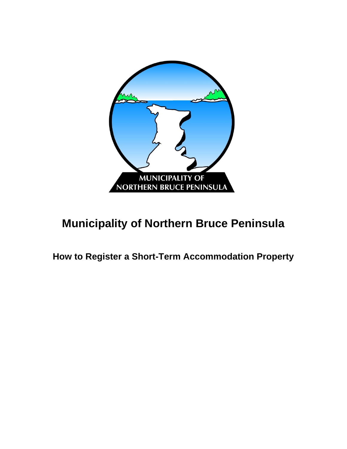

# **Municipality of Northern Bruce Peninsula**

**How to Register a Short-Term Accommodation Property**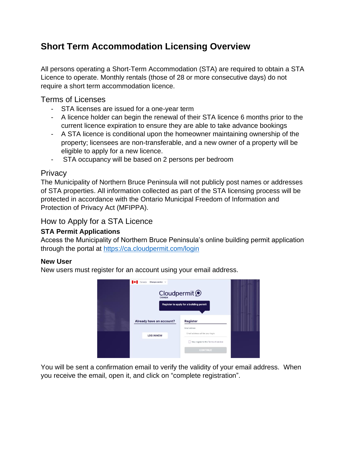## **Short Term Accommodation Licensing Overview**

All persons operating a Short-Term Accommodation (STA) are required to obtain a STA Licence to operate. Monthly rentals (those of 28 or more consecutive days) do not require a short term accommodation licence.

Terms of Licenses

- STA licenses are issued for a one-year term
- A licence holder can begin the renewal of their STA licence 6 months prior to the current licence expiration to ensure they are able to take advance bookings
- A STA licence is conditional upon the homeowner maintaining ownership of the property; licensees are non-transferable, and a new owner of a property will be eligible to apply for a new licence.
- STA occupancy will be based on 2 persons per bedroom

### **Privacy**

The Municipality of Northern Bruce Peninsula will not publicly post names or addresses of STA properties. All information collected as part of the STA licensing process will be protected in accordance with the Ontario Municipal Freedom of Information and Protection of Privacy Act (MFIPPA).

#### How to Apply for a STA Licence

#### **STA Permit Applications**

Access the Municipality of Northern Bruce Peninsula's online building permit application through the portal at<https://ca.cloudpermit.com/login>

#### **New User**

New users must register for an account using your email address.



You will be sent a confirmation email to verify the validity of your email address. When you receive the email, open it, and click on "complete registration".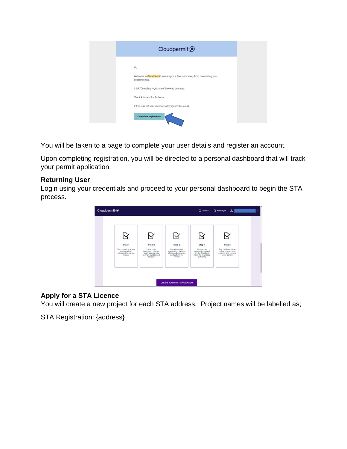|                | Cloudpermit <sup>O</sup>                                                   |
|----------------|----------------------------------------------------------------------------|
| Hi,            |                                                                            |
| account setup. | Welcome to Cloudpermit! You are just a few steps away from completing your |
|                | Click "Complete registration" below to continue.                           |
|                | The link is valid for 24 hours.                                            |
|                | If this was not you, you may safely ignore this email.                     |
|                | <b>Complete registration</b>                                               |

You will be taken to a page to complete your user details and register an account.

Upon completing registration, you will be directed to a personal dashboard that will track your permit application.

#### **Returning User**

Login using your credentials and proceed to your personal dashboard to begin the STA process.



#### **Apply for a STA Licence**

You will create a new project for each STA address. Project names will be labelled as;

STA Registration: {address}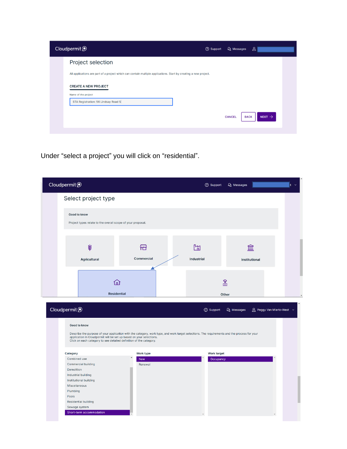| Cloudpermit <sup>O</sup>                                                                                         | <b>2</b> Support | Q Messages    | $\mathbf{B}$                      |
|------------------------------------------------------------------------------------------------------------------|------------------|---------------|-----------------------------------|
| Project selection                                                                                                |                  |               |                                   |
| All applications are part of a project which can contain multiple applications. Start by creating a new project. |                  |               |                                   |
| <b>CREATE A NEW PROJECT</b><br>Name of the project                                                               |                  |               |                                   |
| STA Registration: 56 Lindsay Road 5                                                                              |                  |               |                                   |
|                                                                                                                  |                  | <b>CANCEL</b> | NEXT $\rightarrow$<br><b>BACK</b> |
|                                                                                                                  |                  |               |                                   |

Under "select a project" you will click on "residential".

| Cloudpermit <sup>O</sup>                                            |                                                                                                                                                                  |                                                                                                                                              | <b>2</b> Support                | Q Messages             | $\vert t \vert \sim$                  |
|---------------------------------------------------------------------|------------------------------------------------------------------------------------------------------------------------------------------------------------------|----------------------------------------------------------------------------------------------------------------------------------------------|---------------------------------|------------------------|---------------------------------------|
|                                                                     | Select project type                                                                                                                                              |                                                                                                                                              |                                 |                        |                                       |
|                                                                     | Good to know<br>Project types relate to the overall scope of your proposal.                                                                                      |                                                                                                                                              |                                 |                        |                                       |
|                                                                     | ₩<br><b>Agricultural</b>                                                                                                                                         | 佃<br><b>Commercial</b>                                                                                                                       | m<br>Industrial                 | m<br>Institutional     |                                       |
|                                                                     | (n)<br><b>Residential</b>                                                                                                                                        |                                                                                                                                              |                                 | $\frac{2}{2}$<br>Other |                                       |
| Cloudpermit <sup>O</sup>                                            |                                                                                                                                                                  |                                                                                                                                              | ② Support                       | Q Messages             | $\Delta$ Peggy Van Mierlo-West $\sim$ |
|                                                                     | <b>Good to know</b><br>application in Cloudpermit will be set up based on your selections.<br>Click on each category to see detailed definition of the category. | Describe the purpose of your application with the category, work type, and work target selections. The requirements and the process for your |                                 |                        |                                       |
| Category<br>Combined use<br>Demolition<br>Miscellaneous<br>Plumbing | Commercial building<br>Industrial building<br>Institutional building                                                                                             | Work type<br><b>New</b><br>Renewal                                                                                                           | <b>Work target</b><br>Occupancy |                        |                                       |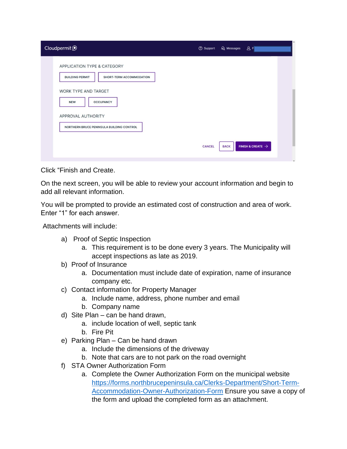| Cloudpermit <sup>O</sup>                                                          | <b>2</b> Support | Q Messages  | 8P                            |
|-----------------------------------------------------------------------------------|------------------|-------------|-------------------------------|
| APPLICATION TYPE & CATEGORY<br><b>BUILDING PERMIT</b><br>SHORT-TERM ACCOMMODATION |                  |             |                               |
| WORK TYPE AND TARGET<br><b>OCCUPANCY</b><br><b>NEW</b>                            |                  |             |                               |
| APPROVAL AUTHORITY<br>NORTHERN BRUCE PENINSULA BUILDING CONTROL                   |                  |             |                               |
|                                                                                   | <b>CANCEL</b>    | <b>BACK</b> | FINISH & CREATE $\rightarrow$ |

Click "Finish and Create.

On the next screen, you will be able to review your account information and begin to add all relevant information.

You will be prompted to provide an estimated cost of construction and area of work. Enter "1" for each answer.

Attachments will include:

- a) Proof of Septic Inspection
	- a. This requirement is to be done every 3 years. The Municipality will accept inspections as late as 2019.
- b) Proof of Insurance
	- a. Documentation must include date of expiration, name of insurance company etc.
- c) Contact information for Property Manager
	- a. Include name, address, phone number and email
	- b. Company name
- d) Site Plan can be hand drawn,
	- a. include location of well, septic tank
	- b. Fire Pit
- e) Parking Plan Can be hand drawn
	- a. Include the dimensions of the driveway
	- b. Note that cars are to not park on the road overnight
- f) STA Owner Authorization Form
	- a. Complete the Owner Authorization Form on the municipal website [https://forms.northbrucepeninsula.ca/Clerks-Department/Short-Term-](https://forms.northbrucepeninsula.ca/Clerks-Department/Short-Term-Accommodation-Owner-Authorization-Form)[Accommodation-Owner-Authorization-Form](https://forms.northbrucepeninsula.ca/Clerks-Department/Short-Term-Accommodation-Owner-Authorization-Form) Ensure you save a copy of the form and upload the completed form as an attachment.